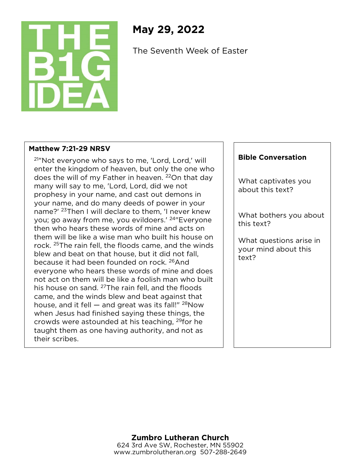

## **May 29, 2022**

The Seventh Week of Easter

## **Matthew 7:21-29 NRSV**

21"Not everyone who says to me, 'Lord, Lord,' will enter the kingdom of heaven, but only the one who does the will of my Father in heaven. <sup>22</sup>On that day many will say to me, 'Lord, Lord, did we not prophesy in your name, and cast out demons in your name, and do many deeds of power in your name?' <sup>23</sup>Then I will declare to them, 'I never knew you; go away from me, you evildoers.' 24"Everyone then who hears these words of mine and acts on them will be like a wise man who built his house on rock. 25The rain fell, the floods came, and the winds blew and beat on that house, but it did not fall, because it had been founded on rock. 26And everyone who hears these words of mine and does not act on them will be like a foolish man who built his house on sand. <sup>27</sup>The rain fell, and the floods came, and the winds blew and beat against that house, and it fell  $-$  and great was its fall!"  $^{28}$ Now when Jesus had finished saying these things, the crowds were astounded at his teaching, 29for he taught them as one having authority, and not as their scribes.

## **Bible Conversation**

What captivates you about this text?

What bothers you about this text?

What questions arise in your mind about this text?